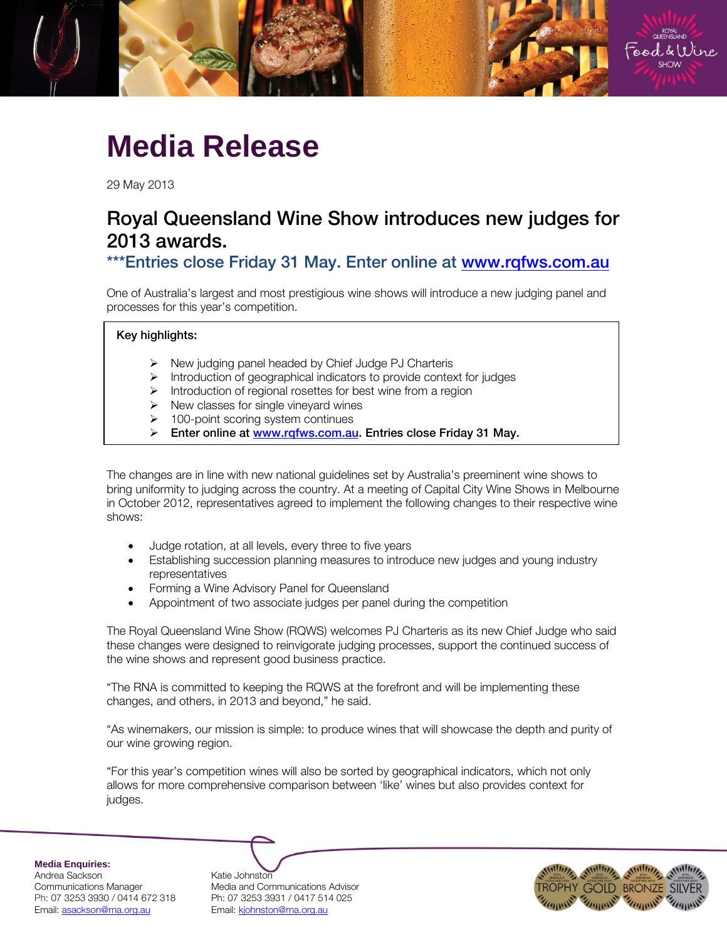

## **Media Release**

29 May 2013

# Royal Queensland Wine Show introduces new judges for

\*\*\* Entries close Friday 31 May. Enter online at www.rgfws.com.au  $\frac{1}{\sqrt{2}}$  is considered by  $\frac{1}{\sqrt{2}}$  at warm.

One of Australia's largest and most prestigious wine shows will introduce a new judging panel and processes for this year's competition.

## Key highlights:

- $\triangleright$  New judging panel headed by Chief Judge PJ Charteris
- $\triangleright$  Introduction of geographical indicators to provide context for judges
- $\triangleright$  Introduction of regional rosettes for best wine from a region
- $\triangleright$  New classes for single vineyard wines
- $\geq 100$ -point scoring system continues
- Enter online at [www.rqfws.com.au.](http://www.rqfws.com.au/) Entries close Friday 31 May.

The changes are in line with new national guidelines set by Australia's preeminent wine shows to bring uniformity to judging across the country. At a meeting of Capital City Wine Shows in Melbourne in October 2012, representatives agreed to implement the following changes to their respective wine shows:

- Judge rotation, at all levels, every three to five years
- Establishing succession planning measures to introduce new judges and young industry representatives
- Forming a Wine Advisory Panel for Queensland
- Appointment of two associate judges per panel during the competition

The Royal Queensland Wine Show (RQWS) welcomes PJ Charteris as its new Chief Judge who said these changes were designed to reinvigorate judging processes, support the continued success of the wine shows and represent good business practice.

"The RNA is committed to keeping the RQWS at the forefront and will be implementing these changes, and others, in 2013 and beyond," he said.

"As winemakers, our mission is simple: to produce wines that will showcase the depth and purity of our wine growing region.

"For this year's competition wines will also be sorted by geographical indicators, which not only allows for more comprehensive comparison between 'like' wines but also provides context for judges.

**Media Enquiries:**

Andrea Sackson Katie Johnston Ph: 07 3253 3930 / 0414 672 318 Ph: 07 3253 3931 / 0417 514 025 Email: asackson@rna.org.au Fmail: kjohnston@rna.org.au

Communications Manager Media and Communications Advisor

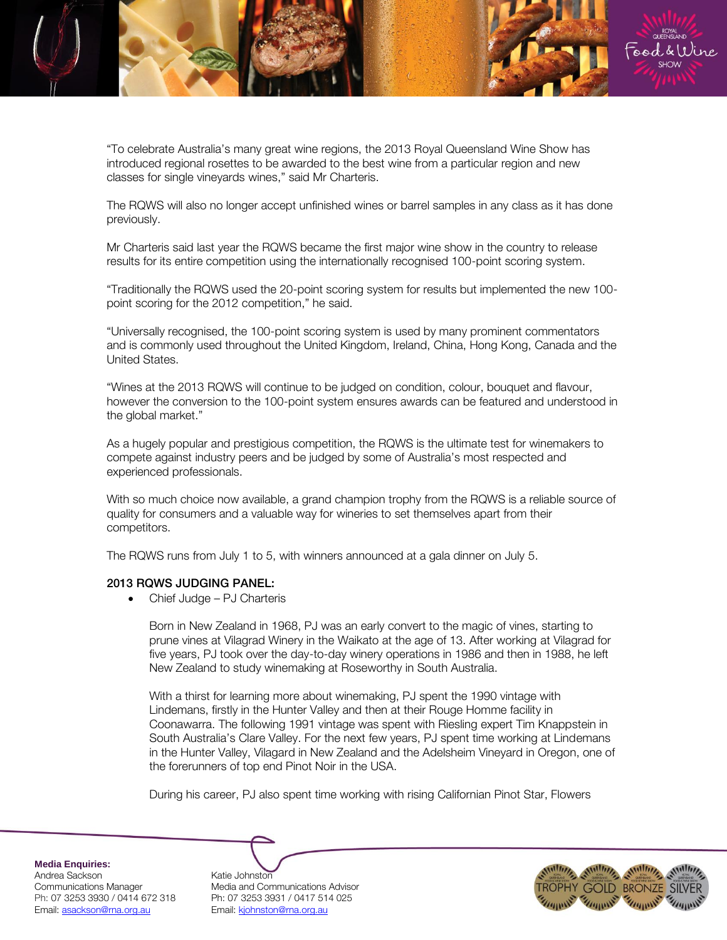

"To celebrate Australia's many great wine regions, the 2013 Royal Queensland Wine Show has introduced regional rosettes to be awarded to the best wine from a particular region and new classes for single vineyards wines," said Mr Charteris.

The RQWS will also no longer accept unfinished wines or barrel samples in any class as it has done previously.

Mr Charteris said last year the RQWS became the first major wine show in the country to release results for its entire competition using the internationally recognised 100-point scoring system.

"Traditionally the RQWS used the 20-point scoring system for results but implemented the new 100 point scoring for the 2012 competition," he said.

"Universally recognised, the 100-point scoring system is used by many prominent commentators and is commonly used throughout the United Kingdom, Ireland, China, Hong Kong, Canada and the United States.

"Wines at the 2013 RQWS will continue to be judged on condition, colour, bouquet and flavour, however the conversion to the 100-point system ensures awards can be featured and understood in the global market."

As a hugely popular and prestigious competition, the RQWS is the ultimate test for winemakers to compete against industry peers and be judged by some of Australia's most respected and experienced professionals.

With so much choice now available, a grand champion trophy from the RQWS is a reliable source of quality for consumers and a valuable way for wineries to set themselves apart from their competitors.

The RQWS runs from July 1 to 5, with winners announced at a gala dinner on July 5.

#### 2013 ROWS JUDGING PANEL:

**2013 ROWS DE 2013 ROWS DE 2013 ROWS DE 2013** 

Born in New Zealand in 1968, PJ was an early convert to the magic of vines, starting to prune vines at Vilagrad Winery in the Waikato at the age of 13. After working at Vilagrad for five years, PJ took over the day-to-day winery operations in 1986 and then in 1988, he left New Zealand to study winemaking at Roseworthy in South Australia.

With a thirst for learning more about winemaking, PJ spent the 1990 vintage with Lindemans, firstly in the Hunter Valley and then at their Rouge Homme facility in Coonawarra. The following 1991 vintage was spent with Riesling expert Tim Knappstein in South Australia's Clare Valley. For the next few years, PJ spent time working at Lindemans in the Hunter Valley, Vilagard in New Zealand and the Adelsheim Vineyard in Oregon, one of the forerunners of top end Pinot Noir in the USA.

During his career, PJ also spent time working with rising Californian Pinot Star, Flowers

**Media Enquiries:**

Andrea Sackson and Katie Johnston<br>Communications Manager Media and Cor Ph: 07 3253 3930 / 0414 672 318 Ph: 07 3253 3931 / 0417 514 025 Email: asackson@rna.org.au Email: kjohnston@rna.org.au

Media and Communications Advisor